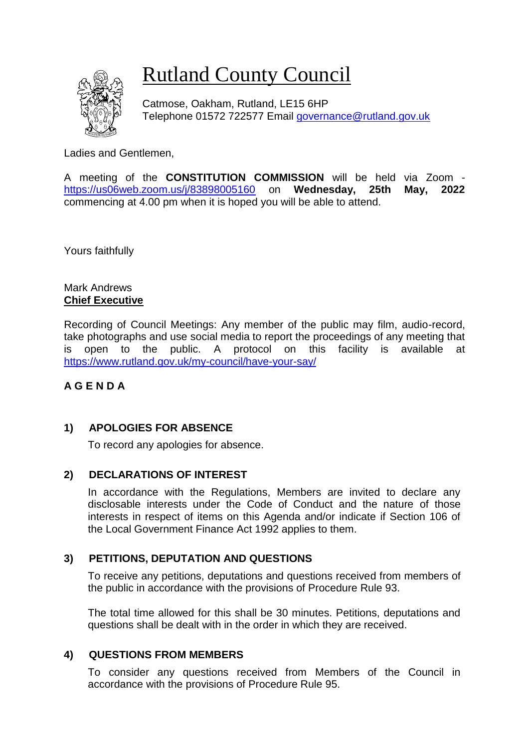# Rutland County Council

Catmose, Oakham, Rutland, LE15 6HP Telephone 01572 722577 Email [governance@rutland.gov.uk](mailto:governance@rutland.gov.uk)

Ladies and Gentlemen,

A meeting of the **CONSTITUTION COMMISSION** will be held via Zoom <https://us06web.zoom.us/j/83898005160> on **Wednesday, 25th May, 2022** commencing at 4.00 pm when it is hoped you will be able to attend.

Yours faithfully

Mark Andrews **Chief Executive**

Recording of Council Meetings: Any member of the public may film, audio-record, take photographs and use social media to report the proceedings of any meeting that is open to the public. A protocol on this facility is available at <https://www.rutland.gov.uk/my-council/have-your-say/>

### **A G E N D A**

### **1) APOLOGIES FOR ABSENCE**

To record any apologies for absence.

### **2) DECLARATIONS OF INTEREST**

In accordance with the Regulations, Members are invited to declare any disclosable interests under the Code of Conduct and the nature of those interests in respect of items on this Agenda and/or indicate if Section 106 of the Local Government Finance Act 1992 applies to them.

### **3) PETITIONS, DEPUTATION AND QUESTIONS**

To receive any petitions, deputations and questions received from members of the public in accordance with the provisions of Procedure Rule 93.

The total time allowed for this shall be 30 minutes. Petitions, deputations and questions shall be dealt with in the order in which they are received.

### **4) QUESTIONS FROM MEMBERS**

To consider any questions received from Members of the Council in accordance with the provisions of Procedure Rule 95.